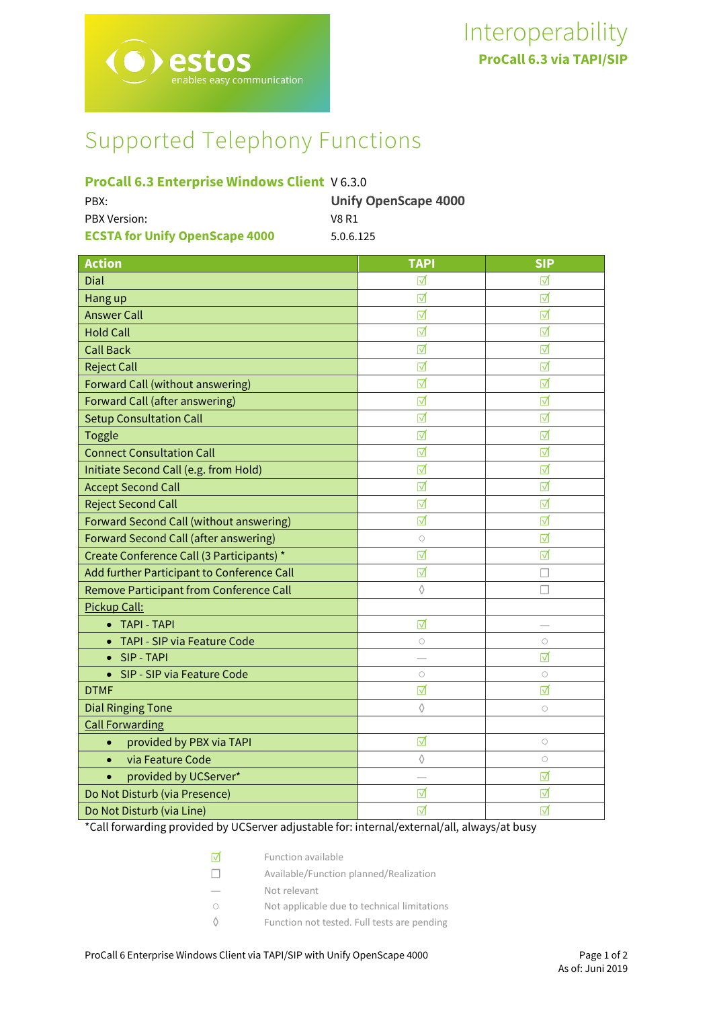# Supported Telephony Functions

# **ProCall 6.3 Enterprise Windows Client** V 6.3.0

| PBX:                                  | <b>Unify OpenScape 4000</b> |
|---------------------------------------|-----------------------------|
| <b>PBX Version:</b>                   | V8 R1                       |
| <b>ECSTA for Unify OpenScape 4000</b> | 5.0.6.125                   |

| <b>Action</b>                                | <b>TAPI</b> | <b>SIP</b> |
|----------------------------------------------|-------------|------------|
| Dial                                         | ☑           | ☑          |
| Hang up                                      | ☑           | ⊽          |
| <b>Answer Call</b>                           | ☑           | ☑          |
| <b>Hold Call</b>                             | ☑           | ☑          |
| <b>Call Back</b>                             | ☑           | ☑          |
| <b>Reject Call</b>                           | ☑           | ☑          |
| Forward Call (without answering)             | ☑           | ⊽          |
| Forward Call (after answering)               | ☑           | ☑          |
| <b>Setup Consultation Call</b>               | ☑           | ☑          |
| <b>Toggle</b>                                | ☑           | ☑          |
| <b>Connect Consultation Call</b>             | ☑           | ☑          |
| Initiate Second Call (e.g. from Hold)        | ☑           | ☑          |
| <b>Accept Second Call</b>                    | ☑           | ☑          |
| <b>Reject Second Call</b>                    | ☑           | ☑          |
| Forward Second Call (without answering)      | ☑           | ☑          |
| <b>Forward Second Call (after answering)</b> | $\bigcirc$  | ☑          |
| Create Conference Call (3 Participants) *    | ☑           | ☑          |
| Add further Participant to Conference Call   | ☑           | П          |
| Remove Participant from Conference Call      | ♦           |            |
| Pickup Call:                                 |             |            |
| • TAPI - TAPI                                | ☑           |            |
| TAPI - SIP via Feature Code                  | $\circ$     | $\circ$    |
| SIP - TAPI                                   |             | ⊽          |
| SIP - SIP via Feature Code<br>$\bullet$      | $\bigcirc$  | $\circ$    |
| <b>DTMF</b>                                  | ☑           | ☑          |
| <b>Dial Ringing Tone</b>                     | ♦           | $\circ$    |
| <b>Call Forwarding</b>                       |             |            |
| provided by PBX via TAPI<br>$\bullet$        | ☑           | $\circ$    |
| via Feature Code<br>$\bullet$                | $\Diamond$  | $\circ$    |
| provided by UCServer*<br>$\bullet$           |             | ⊽          |
| Do Not Disturb (via Presence)                | ☑           | ☑          |
| Do Not Disturb (via Line)                    | ☑           | ☑          |

\*Call forwarding provided by UCServer adjustable for: internal/external/all, always/at busy

| $\triangledown$ |  | Function available |
|-----------------|--|--------------------|
|-----------------|--|--------------------|

- ☐ Available/Function planned/Realization
- Not relevant
- Not applicable due to technical limitations
- ◊ Function not tested. Full tests are pending